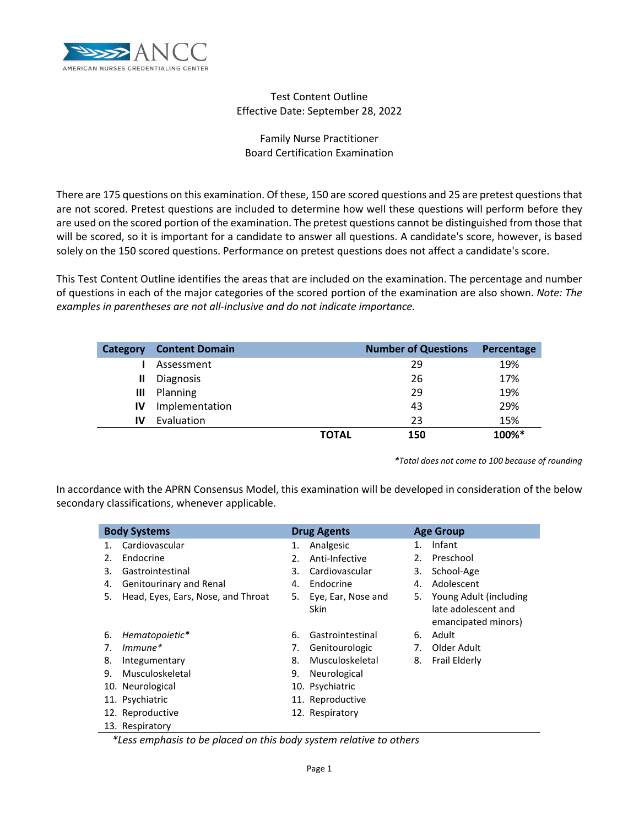

# Test Content Outline Effective Date: September 28, 2022

# Family Nurse Practitioner Board Certification Examination

There are 175 questions on this examination. Of these, 150 are scored questions and 25 are pretest questions that are not scored. Pretest questions are included to determine how well these questions will perform before they are used on the scored portion of the examination. The pretest questions cannot be distinguished from those that will be scored, so it is important for a candidate to answer all questions. A candidate's score, however, is based solely on the 150 scored questions. Performance on pretest questions does not affect a candidate's score.

This Test Content Outline identifies the areas that are included on the examination. The percentage and number of questions in each of the major categories of the scored portion of the examination are also shown. *Note: The examples in parentheses are not all-inclusive and do not indicate importance.*

| Category | <b>Content Domain</b> | <b>Number of Questions</b> | Percentage |
|----------|-----------------------|----------------------------|------------|
|          | Assessment            | 29                         | 19%        |
| Ш        | Diagnosis             | 26                         | 17%        |
| Ш        | Planning              | 29                         | 19%        |
| IV       | Implementation        | 43                         | 29%        |
| IV       | Evaluation            | 23                         | 15%        |
|          |                       | <b>TOTAL</b><br>150        | 100%*      |

*\*Total does not come to 100 because of rounding*

In accordance with the APRN Consensus Model, this examination will be developed in consideration of the below secondary classifications, whenever applicable.

| <b>Body Systems</b> |                                    |    | <b>Drug Agents</b> |    | <b>Age Group</b>          |  |  |
|---------------------|------------------------------------|----|--------------------|----|---------------------------|--|--|
| 1.                  | Cardiovascular                     | 1. | Analgesic          | 1. | Infant                    |  |  |
| 2.                  | Endocrine                          | 2. | Anti-Infective     | 2. | Preschool                 |  |  |
| 3.                  | Gastrointestinal                   | 3. | Cardiovascular     | 3. | School-Age                |  |  |
| 4.                  | Genitourinary and Renal            | 4. | Endocrine          | 4. | Adolescent                |  |  |
| 5.                  | Head, Eyes, Ears, Nose, and Throat | 5. | Eye, Ear, Nose and |    | 5. Young Adult (including |  |  |
|                     |                                    |    | Skin               |    | late adolescent and       |  |  |
|                     |                                    |    |                    |    | emancipated minors)       |  |  |
| 6.                  | Hematopoietic*                     | 6. | Gastrointestinal   | 6. | Adult                     |  |  |
| 7.                  | $Immune*$                          | 7. | Genitourologic     | 7. | Older Adult               |  |  |
| 8.                  | Integumentary                      | 8. | Musculoskeletal    | 8. | Frail Elderly             |  |  |
| 9.                  | Musculoskeletal                    | 9. | Neurological       |    |                           |  |  |
|                     | 10. Neurological                   |    | 10. Psychiatric    |    |                           |  |  |
|                     | 11. Psychiatric                    |    | 11. Reproductive   |    |                           |  |  |
|                     | 12. Reproductive                   |    | 12. Respiratory    |    |                           |  |  |
|                     | 13. Respiratory                    |    |                    |    |                           |  |  |
|                     |                                    |    |                    |    |                           |  |  |

 *\*Less emphasis to be placed on this body system relative to others*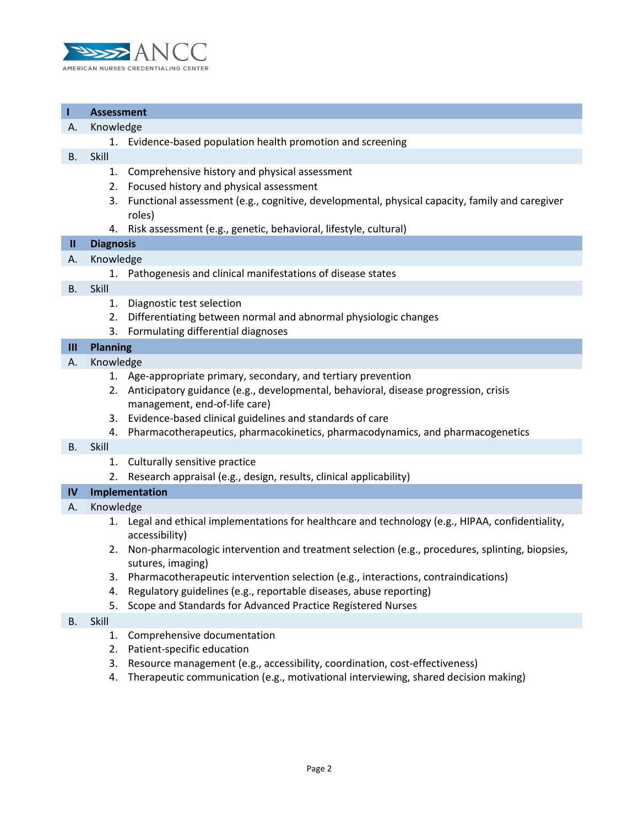

# **I Assessment**

### A. Knowledge

1. Evidence-based population health promotion and screening

### B. Skill

- 1. Comprehensive history and physical assessment
- 2. Focused history and physical assessment
- 3. Functional assessment (e.g., cognitive, developmental, physical capacity, family and caregiver roles)
- 4. Risk assessment (e.g., genetic, behavioral, lifestyle, cultural)

# **II Diagnosis**

## A. Knowledge

1. Pathogenesis and clinical manifestations of disease states

## B. Skill

- 1. Diagnostic test selection
- 2. Differentiating between normal and abnormal physiologic changes
- 3. Formulating differential diagnoses

# **III Planning**

- A. Knowledge
	- 1. Age-appropriate primary, secondary, and tertiary prevention
	- 2. Anticipatory guidance (e.g., developmental, behavioral, disease progression, crisis management, end-of-life care)
	- 3. Evidence-based clinical guidelines and standards of care
	- 4. Pharmacotherapeutics, pharmacokinetics, pharmacodynamics, and pharmacogenetics

#### B. Skill

- 1. Culturally sensitive practice
- 2. Research appraisal (e.g., design, results, clinical applicability)

## **IV Implementation**

## A. Knowledge

- 1. Legal and ethical implementations for healthcare and technology (e.g., HIPAA, confidentiality, accessibility)
- 2. Non-pharmacologic intervention and treatment selection (e.g., procedures, splinting, biopsies, sutures, imaging)
- 3. Pharmacotherapeutic intervention selection (e.g., interactions, contraindications)
- 4. Regulatory guidelines (e.g., reportable diseases, abuse reporting)
- 5. Scope and Standards for Advanced Practice Registered Nurses

## B. Skill

- 1. Comprehensive documentation
- 2. Patient-specific education
- 3. Resource management (e.g., accessibility, coordination, cost-effectiveness)
- 4. Therapeutic communication (e.g., motivational interviewing, shared decision making)